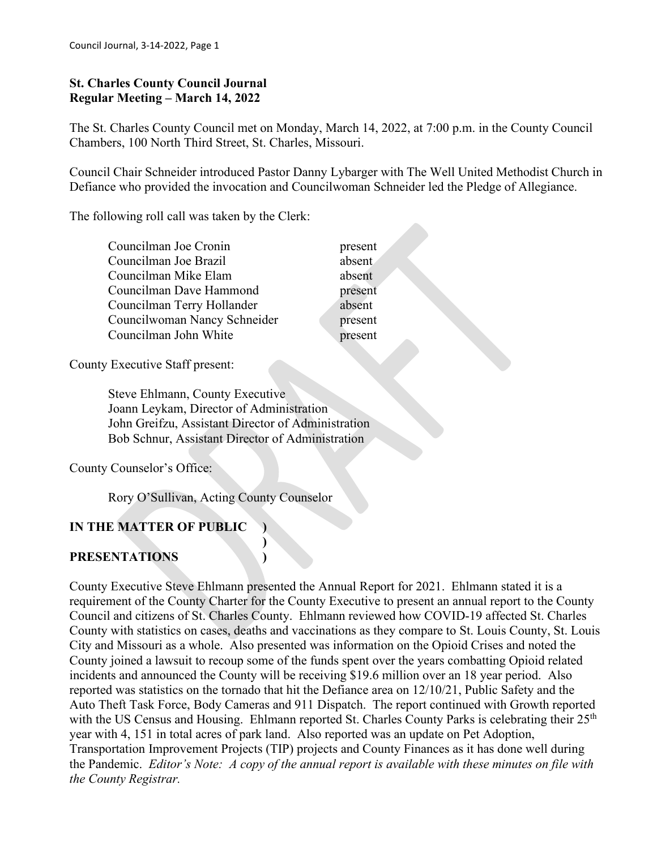#### **St. Charles County Council Journal Regular Meeting – March 14, 2022**

The St. Charles County Council met on Monday, March 14, 2022, at 7:00 p.m. in the County Council Chambers, 100 North Third Street, St. Charles, Missouri.

Council Chair Schneider introduced Pastor Danny Lybarger with The Well United Methodist Church in Defiance who provided the invocation and Councilwoman Schneider led the Pledge of Allegiance.

The following roll call was taken by the Clerk:

| absent<br>Councilman Joe Brazil<br>absent<br>Councilman Mike Elam | presen |
|-------------------------------------------------------------------|--------|
|                                                                   |        |
|                                                                   |        |
| Councilman Dave Hammond<br>presen                                 |        |
| absent<br>Councilman Terry Hollander                              |        |
| Councilwoman Nancy Schneider<br>presen                            |        |
| Councilman John White<br>presen                                   |        |

present absent present absent present present

County Executive Staff present:

 Steve Ehlmann, County Executive Joann Leykam, Director of Administration John Greifzu, Assistant Director of Administration Bob Schnur, Assistant Director of Administration

**)**

County Counselor's Office:

Rory O'Sullivan, Acting County Counselor

# **IN THE MATTER OF PUBLIC )**

## **PRESENTATIONS )**

County Executive Steve Ehlmann presented the Annual Report for 2021. Ehlmann stated it is a requirement of the County Charter for the County Executive to present an annual report to the County Council and citizens of St. Charles County. Ehlmann reviewed how COVID-19 affected St. Charles County with statistics on cases, deaths and vaccinations as they compare to St. Louis County, St. Louis City and Missouri as a whole. Also presented was information on the Opioid Crises and noted the County joined a lawsuit to recoup some of the funds spent over the years combatting Opioid related incidents and announced the County will be receiving \$19.6 million over an 18 year period. Also reported was statistics on the tornado that hit the Defiance area on 12/10/21, Public Safety and the Auto Theft Task Force, Body Cameras and 911 Dispatch. The report continued with Growth reported with the US Census and Housing. Ehlmann reported St. Charles County Parks is celebrating their 25<sup>th</sup> year with 4, 151 in total acres of park land. Also reported was an update on Pet Adoption, Transportation Improvement Projects (TIP) projects and County Finances as it has done well during the Pandemic. *Editor's Note: A copy of the annual report is available with these minutes on file with the County Registrar.*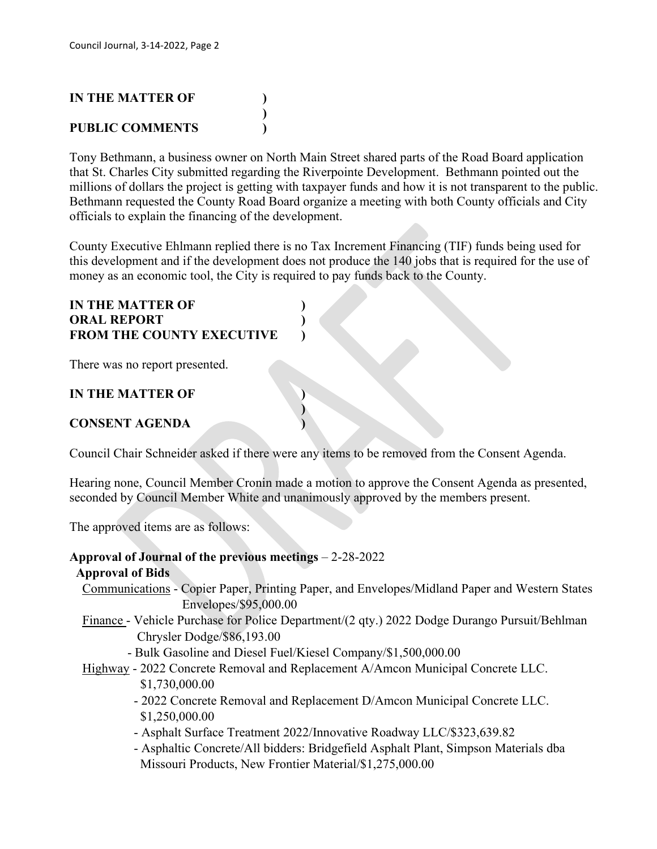# **IN THE MATTER OF ) ) PUBLIC COMMENTS )**

Tony Bethmann, a business owner on North Main Street shared parts of the Road Board application that St. Charles City submitted regarding the Riverpointe Development. Bethmann pointed out the millions of dollars the project is getting with taxpayer funds and how it is not transparent to the public. Bethmann requested the County Road Board organize a meeting with both County officials and City officials to explain the financing of the development.

County Executive Ehlmann replied there is no Tax Increment Financing (TIF) funds being used for this development and if the development does not produce the 140 jobs that is required for the use of money as an economic tool, the City is required to pay funds back to the County.

## **IN THE MATTER OF ) ORAL REPORT ) FROM THE COUNTY EXECUTIVE )**

There was no report presented.

## **IN THE MATTER OF )**

## **CONSENT AGENDA )**

Council Chair Schneider asked if there were any items to be removed from the Consent Agenda.

**)**

Hearing none, Council Member Cronin made a motion to approve the Consent Agenda as presented, seconded by Council Member White and unanimously approved by the members present.

The approved items are as follows:

# **Approval of Journal of the previous meetings** – 2-28-2022

## **Approval of Bids**

- Communications Copier Paper, Printing Paper, and Envelopes/Midland Paper and Western States Envelopes/\$95,000.00
- Finance Vehicle Purchase for Police Department/(2 qty.) 2022 Dodge Durango Pursuit/Behlman Chrysler Dodge/\$86,193.00
	- Bulk Gasoline and Diesel Fuel/Kiesel Company/\$1,500,000.00
- Highway 2022 Concrete Removal and Replacement A/Amcon Municipal Concrete LLC. \$1,730,000.00
	- 2022 Concrete Removal and Replacement D/Amcon Municipal Concrete LLC. \$1,250,000.00
	- Asphalt Surface Treatment 2022/Innovative Roadway LLC/\$323,639.82
	- Asphaltic Concrete/All bidders: Bridgefield Asphalt Plant, Simpson Materials dba Missouri Products, New Frontier Material/\$1,275,000.00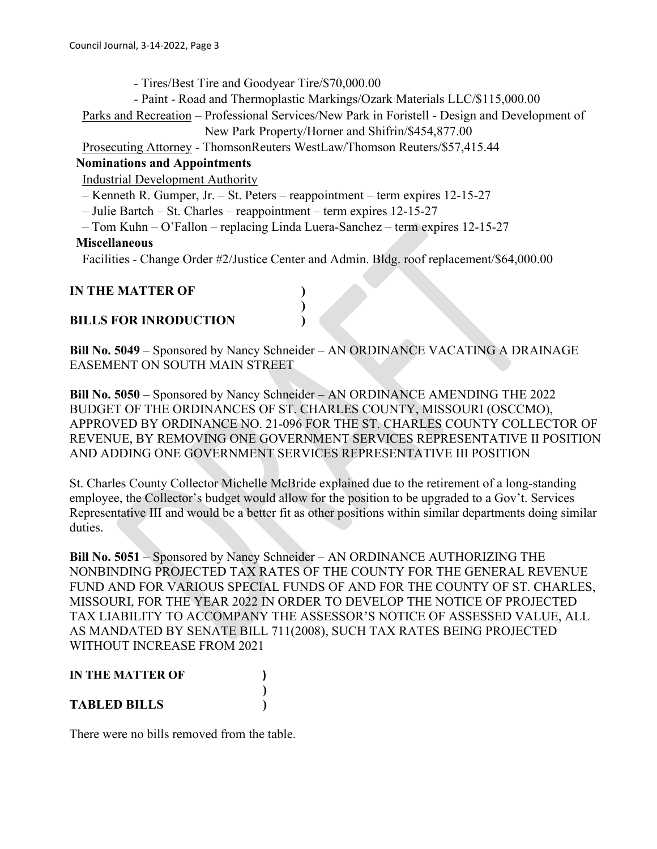- Tires/Best Tire and Goodyear Tire/\$70,000.00

- Paint - Road and Thermoplastic Markings/Ozark Materials LLC/\$115,000.00

 Parks and Recreation – Professional Services/New Park in Foristell - Design and Development of New Park Property/Horner and Shifrin/\$454,877.00

Prosecuting Attorney - ThomsonReuters WestLaw/Thomson Reuters/\$57,415.44

#### **Nominations and Appointments**

Industrial Development Authority

- Kenneth R. Gumper, Jr. St. Peters reappointment term expires 12-15-27
- Julie Bartch St. Charles reappointment term expires 12-15-27
- Tom Kuhn O'Fallon replacing Linda Luera-Sanchez term expires 12-15-27

**)**

#### **Miscellaneous**

Facilities - Change Order #2/Justice Center and Admin. Bldg. roof replacement/\$64,000.00

#### **IN THE MATTER OF )**

## **BILLS FOR INRODUCTION )**

**Bill No. 5049** – Sponsored by Nancy Schneider – AN ORDINANCE VACATING A DRAINAGE EASEMENT ON SOUTH MAIN STREET

**Bill No. 5050** – Sponsored by Nancy Schneider – AN ORDINANCE AMENDING THE 2022 BUDGET OF THE ORDINANCES OF ST. CHARLES COUNTY, MISSOURI (OSCCMO), APPROVED BY ORDINANCE NO. 21-096 FOR THE ST. CHARLES COUNTY COLLECTOR OF REVENUE, BY REMOVING ONE GOVERNMENT SERVICES REPRESENTATIVE II POSITION AND ADDING ONE GOVERNMENT SERVICES REPRESENTATIVE III POSITION

St. Charles County Collector Michelle McBride explained due to the retirement of a long-standing employee, the Collector's budget would allow for the position to be upgraded to a Gov't. Services Representative III and would be a better fit as other positions within similar departments doing similar duties.

**Bill No. 5051** – Sponsored by Nancy Schneider – AN ORDINANCE AUTHORIZING THE NONBINDING PROJECTED TAX RATES OF THE COUNTY FOR THE GENERAL REVENUE FUND AND FOR VARIOUS SPECIAL FUNDS OF AND FOR THE COUNTY OF ST. CHARLES, MISSOURI, FOR THE YEAR 2022 IN ORDER TO DEVELOP THE NOTICE OF PROJECTED TAX LIABILITY TO ACCOMPANY THE ASSESSOR'S NOTICE OF ASSESSED VALUE, ALL AS MANDATED BY SENATE BILL 711(2008), SUCH TAX RATES BEING PROJECTED WITHOUT INCREASE FROM 2021

#### **IN THE MATTER OF ) ) TABLED BILLS )**

There were no bills removed from the table.